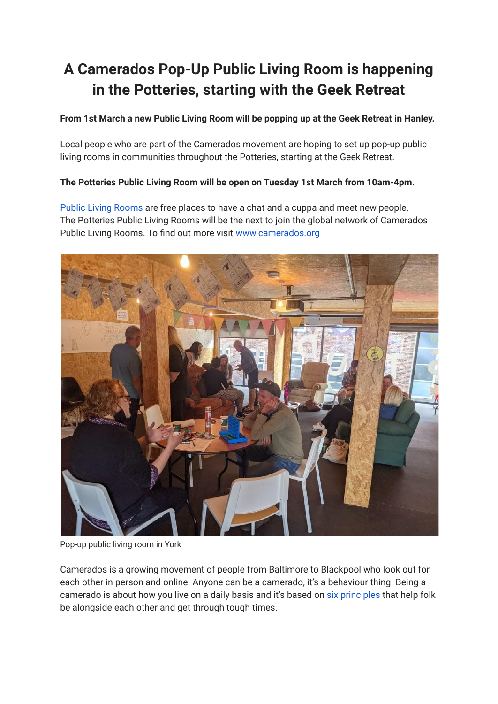## **A Camerados Pop-Up Public Living Room is happening in the Potteries, starting with the Geek Retreat**

## **From 1st March a new Public Living Room will be popping up at the Geek Retreat in Hanley.**

Local people who are part of the Camerados movement are hoping to set up pop-up public living rooms in communities throughout the Potteries, starting at the Geek Retreat.

## **The Potteries Public Living Room will be open on Tuesday 1st March from 10am-4pm.**

Public Living [Rooms](http://tracking.camerados.org/tracking/click?d=EYeJ80FmqCqVEFrEP8utN9tgiBfw7_EhMsKfDVnFJaP2lLZ7O4ztD74_e1NV7_11LQhOklrcwy6HCZnEmYlP6IMUNSnc96bszzoyer2jv-tv6u-5khfKujhpjW8ukb3Rk-MP4c5D6NOOLR9BLPRGhHVMhSvwtuEk7LPo6F0L7u1G0) are free places to have a chat and a cuppa and meet new people. The Potteries Public Living Rooms will be the next to join the global network of Camerados Public Living Rooms. To find out more visit [www.camerados.org](http://tracking.camerados.org/tracking/click?d=1LMi3sgPPuuSwDyG_sxSZx_JIcydQLWjcdudyYWL_kHCIDdCefNTE3qrtk7r8qtbpyc0UOkUrilLwhov-KjE_b4jGhuCgNCnS32SzH43ur-4M8at5ErZy0Zc8pB6EM-YZw2)



Pop-up public living room in York

Camerados is a growing movement of people from Baltimore to Blackpool who look out for each other in person and online. Anyone can be a camerado, it's a behaviour thing. Being a camerado is about how you live on a daily basis and it's based on six [principles](http://tracking.camerados.org/tracking/click?d=NARD0vp2jQn3K4asXgol6zoUqHy3A_O1xp_tDI76IPMWS0DGuVwESypRdPpeQWfn5CLf-g8O_zfK3NmTzmdHMKjf6DZaEgNPSm9yp2dRHHytAtdHoJEWVlc7u5WZuUVlEtGBb7bISzp2AFMujogGR3o1) that help folk be alongside each other and get through tough times.